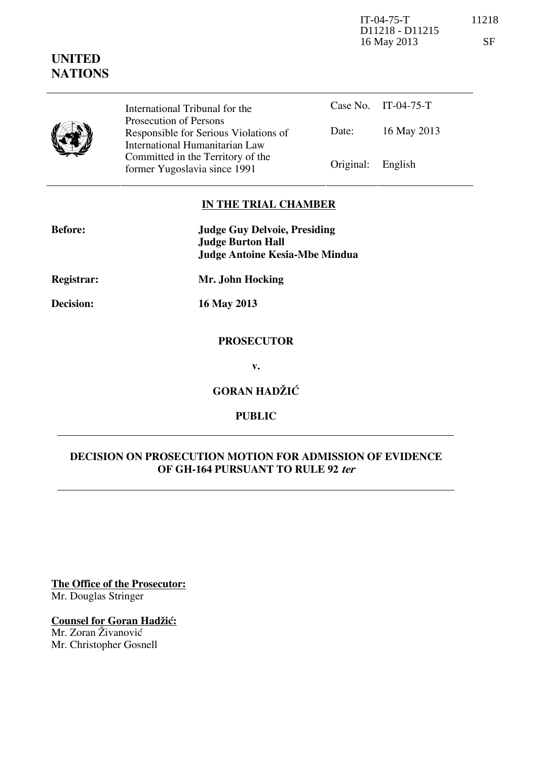IT-04-75-T 11218 D11218 - D11215 16 May 2013

| ×              |  |
|----------------|--|
| ۰.<br>. .<br>v |  |

|  | International Tribunal for the                                                                    |                   | Case No. IT-04-75-T |
|--|---------------------------------------------------------------------------------------------------|-------------------|---------------------|
|  | Prosecution of Persons<br>Responsible for Serious Violations of<br>International Humanitarian Law | Date:             | 16 May 2013         |
|  | Committed in the Territory of the<br>former Yugoslavia since 1991                                 | Original: English |                     |

# **IN THE TRIAL CHAMBER**

| <b>Before:</b>    | <b>Judge Guy Delvoie, Presiding</b><br><b>Judge Burton Hall</b><br>Judge Antoine Kesia-Mbe Mindua |
|-------------------|---------------------------------------------------------------------------------------------------|
| <b>Registrar:</b> | Mr. John Hocking                                                                                  |
| <b>Decision:</b>  | 16 May 2013                                                                                       |
|                   | <b>PROSECUTOR</b>                                                                                 |
|                   | v.                                                                                                |

**GORAN HADŽIĆ** 

## **PUBLIC**

## **DECISION ON PROSECUTION MOTION FOR ADMISSION OF EVIDENCE OF GH-164 PURSUANT TO RULE 92 ter**

**The Office of the Prosecutor:** Mr. Douglas Stringer

# **Counsel for Goran Hadžić:**

Mr. Zoran Živanović Mr. Christopher Gosnell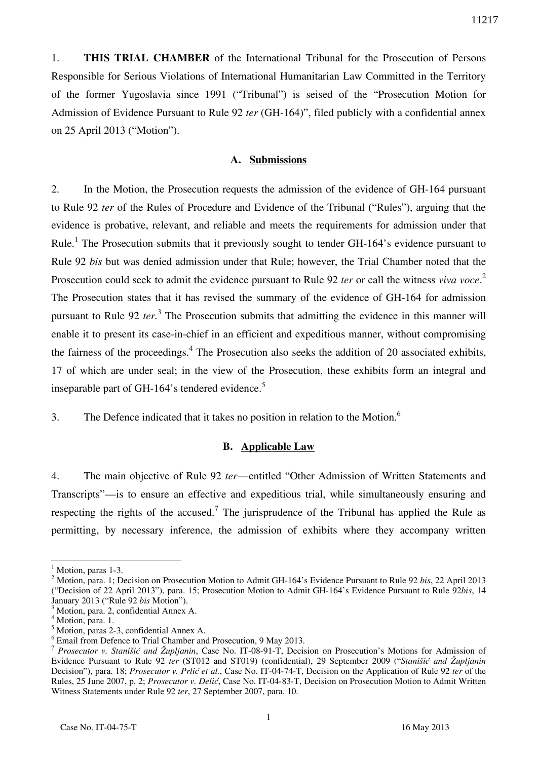1. **THIS TRIAL CHAMBER** of the International Tribunal for the Prosecution of Persons Responsible for Serious Violations of International Humanitarian Law Committed in the Territory of the former Yugoslavia since 1991 ("Tribunal") is seised of the "Prosecution Motion for Admission of Evidence Pursuant to Rule 92 *ter* (GH-164)", filed publicly with a confidential annex on 25 April 2013 ("Motion").

#### **A. Submissions**

2. In the Motion, the Prosecution requests the admission of the evidence of GH-164 pursuant to Rule 92 *ter* of the Rules of Procedure and Evidence of the Tribunal ("Rules"), arguing that the evidence is probative, relevant, and reliable and meets the requirements for admission under that Rule.<sup>1</sup> The Prosecution submits that it previously sought to tender GH-164's evidence pursuant to Rule 92 *bis* but was denied admission under that Rule; however, the Trial Chamber noted that the Prosecution could seek to admit the evidence pursuant to Rule 92 *ter* or call the witness *viva voce*.<sup>2</sup> The Prosecution states that it has revised the summary of the evidence of GH-164 for admission pursuant to Rule 92 *ter.*<sup>3</sup> The Prosecution submits that admitting the evidence in this manner will enable it to present its case-in-chief in an efficient and expeditious manner, without compromising the fairness of the proceedings. $4$  The Prosecution also seeks the addition of 20 associated exhibits, 17 of which are under seal; in the view of the Prosecution, these exhibits form an integral and inseparable part of GH-164's tendered evidence.<sup>5</sup>

3. The Defence indicated that it takes no position in relation to the Motion.<sup>6</sup>

## **B. Applicable Law**

4. The main objective of Rule 92 *ter*—entitled "Other Admission of Written Statements and Transcripts"—is to ensure an effective and expeditious trial, while simultaneously ensuring and respecting the rights of the accused.<sup>7</sup> The jurisprudence of the Tribunal has applied the Rule as permitting, by necessary inference, the admission of exhibits where they accompany written

 $\overline{a}$ 

<sup>&</sup>lt;sup>1</sup> Motion, paras 1-3.

<sup>2</sup> Motion, para. 1; Decision on Prosecution Motion to Admit GH-164's Evidence Pursuant to Rule 92 *bis*, 22 April 2013 ("Decision of 22 April 2013"), para. 15; Prosecution Motion to Admit GH-164's Evidence Pursuant to Rule 92*bis*, 14 January 2013 ("Rule 92 *bis* Motion").

<sup>3</sup> Motion, para. 2, confidential Annex A.

<sup>4</sup> Motion, para. 1.

<sup>5</sup> Motion, paras 2-3, confidential Annex A.

<sup>&</sup>lt;sup>6</sup> Email from Defence to Trial Chamber and Prosecution, 9 May 2013.

<sup>7</sup> *Prosecutor v. Stanišić and Župljanin*, Case No. IT-08-91-T, Decision on Prosecution's Motions for Admission of Evidence Pursuant to Rule 92 *ter* (ST012 and ST019) (confidential), 29 September 2009 ("*Stanišić and Župljanin* Decision"), para. 18; *Prosecutor v. Prlić et al.*, Case No. IT-04-74-T, Decision on the Application of Rule 92 *ter* of the Rules, 25 June 2007, p. 2; *Prosecutor v. Delić*, Case No. IT-04-83-T, Decision on Prosecution Motion to Admit Written Witness Statements under Rule 92 *ter*, 27 September 2007, para. 10.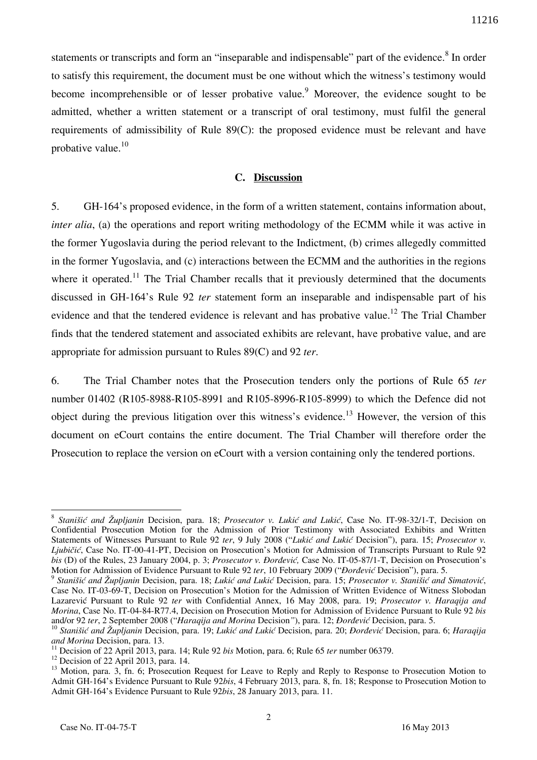statements or transcripts and form an "inseparable and indispensable" part of the evidence.<sup>8</sup> In order to satisfy this requirement, the document must be one without which the witness's testimony would become incomprehensible or of lesser probative value.<sup>9</sup> Moreover, the evidence sought to be admitted, whether a written statement or a transcript of oral testimony, must fulfil the general requirements of admissibility of Rule 89(C): the proposed evidence must be relevant and have probative value. $10$ 

## **C. Discussion**

5. GH-164's proposed evidence, in the form of a written statement, contains information about, *inter alia*, (a) the operations and report writing methodology of the ECMM while it was active in the former Yugoslavia during the period relevant to the Indictment, (b) crimes allegedly committed in the former Yugoslavia, and (c) interactions between the ECMM and the authorities in the regions where it operated.<sup>11</sup> The Trial Chamber recalls that it previously determined that the documents discussed in GH-164's Rule 92 *ter* statement form an inseparable and indispensable part of his evidence and that the tendered evidence is relevant and has probative value.<sup>12</sup> The Trial Chamber finds that the tendered statement and associated exhibits are relevant, have probative value, and are appropriate for admission pursuant to Rules 89(C) and 92 *ter*.

6. The Trial Chamber notes that the Prosecution tenders only the portions of Rule 65 *ter* number 01402 (R105-8988-R105-8991 and R105-8996-R105-8999) to which the Defence did not object during the previous litigation over this witness's evidence.<sup>13</sup> However, the version of this document on eCourt contains the entire document. The Trial Chamber will therefore order the Prosecution to replace the version on eCourt with a version containing only the tendered portions.

 $\overline{a}$ 

<sup>&</sup>lt;sup>8</sup> Stanišić and Župljanin Decision, para. 18; Prosecutor v. Lukić and Lukić, Case No. IT-98-32/1-T, Decision on Confidential Prosecution Motion for the Admission of Prior Testimony with Associated Exhibits and Written Statements of Witnesses Pursuant to Rule 92 ter, 9 July 2008 ("Lukić and Lukić Decision"), para. 15; *Prosecutor v. Ljubičić*, Case No. IT-00-41-PT, Decision on Prosecution's Motion for Admission of Transcripts Pursuant to Rule 92 *bis* (D) of the Rules, 23 January 2004, p. 3; *Prosecutor v. Đorđević*, Case No. IT-05-87/1-T, Decision on Prosecution's Motion for Admission of Evidence Pursuant to Rule 92 *ter*, 10 February 2009 ("*Đorđević* Decision"), para. 5.

<sup>&</sup>lt;sup>9</sup> Stanišić and Župljanin Decision, para. 18; Lukić and Lukić Decision, para. 15; Prosecutor v. Stanišić and Simatović, Case No. IT-03-69-T, Decision on Prosecution's Motion for the Admission of Written Evidence of Witness Slobodan Lazarevi} Pursuant to Rule 92 *ter* with Confidential Annex, 16 May 2008, para. 19; *Prosecutor v. Haraqija and Morina*, Case No. IT-04-84-R77.4, Decision on Prosecution Motion for Admission of Evidence Pursuant to Rule 92 *bis* and/or 92 *ter*, 2 September 2008 ("*Haraqija and Morina* Decision"), para. 12; *Đorđević* Decision, para. 5.

<sup>&</sup>lt;sup>10</sup> Stanišić and Župljanin Decision, para. 19; Lukić and Lukić Decision, para. 20; *Đorđević* Decision, para. 6; *Haraqija and Morina* Decision, para. 13.

<sup>11</sup> Decision of 22 April 2013, para. 14; Rule 92 *bis* Motion, para. 6; Rule 65 *ter* number 06379.

 $12$  Decision of 22 April 2013, para. 14.

<sup>&</sup>lt;sup>13</sup> Motion, para. 3, fn. 6; Prosecution Request for Leave to Reply and Reply to Response to Prosecution Motion to Admit GH-164's Evidence Pursuant to Rule 92*bis*, 4 February 2013, para. 8, fn. 18; Response to Prosecution Motion to Admit GH-164's Evidence Pursuant to Rule 92*bis*, 28 January 2013, para. 11.